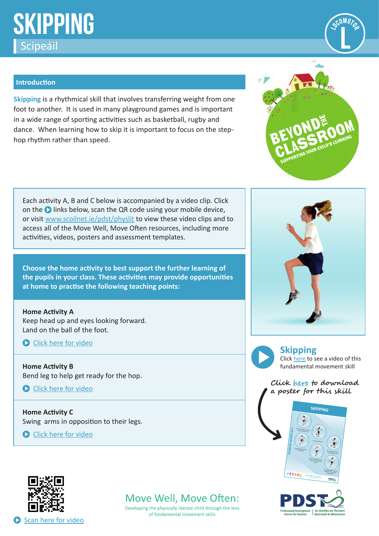# **SKIPPING Scipeáil (Constant)**<br>Scipeáil **League de Constant (Constant) (Constant Constant) (Constant Constant Constant Constant Constant Const<br>Album Constant Constant Constant Constant Constant Constant Constant Constant Constant C**



#### **Introduction**

**Skipping** is a rhythmical skill that involves transferring weight from one foot to another. It is used in many playground games and is important in a wide range of sporting activities such as basketball, rugby and dance. When learning how to skip it is important to focus on the stephop rhythm rather than speed.

Each activity A, B and C below is accompanied by a video clip. Click on the  $\bullet$  links below, scan the QR code using your mobile device, or visi[t www.scoilnet.ie/pdst/physlit](https://www.scoilnet.ie/pdst/physlit/) to view these video clips and to access all of the Move Well, Move Often resources, including more activities, videos, posters and assessment templates.

**Choose the home activity to best support the further learning of the pupils in your class. These activities may provide opportunities at home to practise the following teaching points:**

**Home Activity A** Keep head up and eyes looking forward. Land on the ball of the foot.

**C** [Click here for video](https://vimeo.com/417539946)

**Home Activity B** Bend leg to help get ready for the hop.

Click here for video

**Home Activity C** Swing arms in opposition to their legs.

**C** [Click here for video](https://vimeo.com/417617300)



Developing the physically literate child through the lens of fundamental movement skills





**Skipping** Click [here](https://vimeo.com/211517213) to see a video of this fundamental movement skill

**Clic[k here t](https://www.scoilnet.ie/fileadmin/user_upload/PDST_FMS_Posters_English.pdf)o download a poster for this skill**





Scan here for video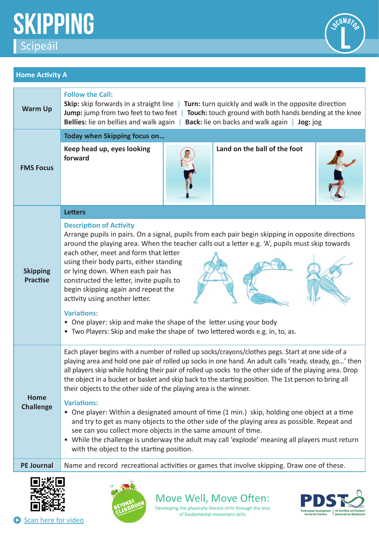



# **Home Activity A**

| <b>Warm Up</b>                     | <b>Follow the Call:</b><br><b>Skip:</b> skip forwards in a straight line $\vert$ Turn: turn quickly and walk in the opposite direction<br><b>Jump:</b> jump from two feet to two feet   Touch: touch ground with both hands bending at the knee<br>Bellies: lie on bellies and walk again   Back: lie on backs and walk again  <br>Jog: jog                                                                                                                                                                                                                                                                                                                        |  |
|------------------------------------|--------------------------------------------------------------------------------------------------------------------------------------------------------------------------------------------------------------------------------------------------------------------------------------------------------------------------------------------------------------------------------------------------------------------------------------------------------------------------------------------------------------------------------------------------------------------------------------------------------------------------------------------------------------------|--|
| <b>FMS Focus</b>                   | Today when Skipping focus on                                                                                                                                                                                                                                                                                                                                                                                                                                                                                                                                                                                                                                       |  |
|                                    | Land on the ball of the foot<br>Keep head up, eyes looking<br>forward                                                                                                                                                                                                                                                                                                                                                                                                                                                                                                                                                                                              |  |
| <b>Skipping</b><br><b>Practise</b> | <b>Letters</b>                                                                                                                                                                                                                                                                                                                                                                                                                                                                                                                                                                                                                                                     |  |
|                                    | <b>Description of Activity</b><br>Arrange pupils in pairs. On a signal, pupils from each pair begin skipping in opposite directions<br>around the playing area. When the teacher calls out a letter e.g. 'A', pupils must skip towards<br>each other, meet and form that letter<br>using their body parts, either standing<br>or lying down. When each pair has<br>constructed the letter, invite pupils to<br>begin skipping again and repeat the<br>activity using another letter.<br><b>Variations:</b><br>• One player: skip and make the shape of the letter using your body<br>• Two Players: Skip and make the shape of two lettered words e.g. in, to, as. |  |
| <b>Home</b><br><b>Challenge</b>    | Each player begins with a number of rolled up socks/crayons/clothes pegs. Start at one side of a<br>playing area and hold one pair of rolled up socks in one hand. An adult calls 'ready, steady, go' then<br>all players skip while holding their pair of rolled up socks to the other side of the playing area. Drop<br>the object in a bucket or basket and skip back to the starting position. The 1st person to bring all<br>their objects to the other side of the playing area is the winner.                                                                                                                                                               |  |
|                                    | <b>Variations:</b><br>• One player: Within a designated amount of time (1 min.) skip, holding one object at a time<br>and try to get as many objects to the other side of the playing area as possible. Repeat and<br>see can you collect more objects in the same amount of time.<br>• While the challenge is underway the adult may call 'explode' meaning all players must return<br>with the object to the starting position.                                                                                                                                                                                                                                  |  |
| <b>PE Journal</b>                  | Name and record recreational activities or games that involve skipping. Draw one of these.                                                                                                                                                                                                                                                                                                                                                                                                                                                                                                                                                                         |  |





Move Well, Move Often: Developing the physically literate child through the lens

of fundamental movement skills



Scan here for video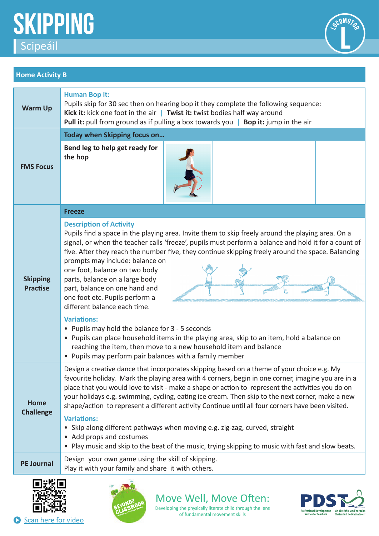



## **Home Activity B**

| <b>Warm Up</b>                     | <b>Human Bop it:</b><br>Pupils skip for 30 sec then on hearing bop it they complete the following sequence:<br>Kick it: kick one foot in the air   Twist it: twist bodies half way around<br><b>Pull it:</b> pull from ground as if pulling a box towards you   Bop it: jump in the air                                                                                                                                                                                                                                                                                                                                                                                                                                                                                                                                                                         |  |
|------------------------------------|-----------------------------------------------------------------------------------------------------------------------------------------------------------------------------------------------------------------------------------------------------------------------------------------------------------------------------------------------------------------------------------------------------------------------------------------------------------------------------------------------------------------------------------------------------------------------------------------------------------------------------------------------------------------------------------------------------------------------------------------------------------------------------------------------------------------------------------------------------------------|--|
| <b>FMS Focus</b>                   | Today when Skipping focus on                                                                                                                                                                                                                                                                                                                                                                                                                                                                                                                                                                                                                                                                                                                                                                                                                                    |  |
|                                    | Bend leg to help get ready for<br>the hop                                                                                                                                                                                                                                                                                                                                                                                                                                                                                                                                                                                                                                                                                                                                                                                                                       |  |
|                                    | <b>Freeze</b>                                                                                                                                                                                                                                                                                                                                                                                                                                                                                                                                                                                                                                                                                                                                                                                                                                                   |  |
| <b>Skipping</b><br><b>Practise</b> | <b>Description of Activity</b><br>Pupils find a space in the playing area. Invite them to skip freely around the playing area. On a<br>signal, or when the teacher calls 'freeze', pupils must perform a balance and hold it for a count of<br>five. After they reach the number five, they continue skipping freely around the space. Balancing<br>prompts may include: balance on<br>one foot, balance on two body<br>parts, balance on a large body<br>part, balance on one hand and<br>one foot etc. Pupils perform a<br>different balance each time.<br><b>Variations:</b><br>• Pupils may hold the balance for 3 - 5 seconds<br>• Pupils can place household items in the playing area, skip to an item, hold a balance on<br>reaching the item, then move to a new household item and balance<br>• Pupils may perform pair balances with a family member |  |
| <b>Home</b><br><b>Challenge</b>    | Design a creative dance that incorporates skipping based on a theme of your choice e.g. My<br>favourite holiday. Mark the playing area with 4 corners, begin in one corner, imagine you are in a<br>place that you would love to visit - make a shape or action to represent the activities you do on<br>your holidays e.g. swimming, cycling, eating ice cream. Then skip to the next corner, make a new<br>shape/action to represent a different activity Continue until all four corners have been visited.<br><b>Variations:</b><br>• Skip along different pathways when moving e.g. zig-zag, curved, straight<br>• Add props and costumes                                                                                                                                                                                                                  |  |
|                                    | • Play music and skip to the beat of the music, trying skipping to music with fast and slow beats.                                                                                                                                                                                                                                                                                                                                                                                                                                                                                                                                                                                                                                                                                                                                                              |  |
| <b>PE Journal</b>                  | Design your own game using the skill of skipping.<br>Play it with your family and share it with others.                                                                                                                                                                                                                                                                                                                                                                                                                                                                                                                                                                                                                                                                                                                                                         |  |
|                                    |                                                                                                                                                                                                                                                                                                                                                                                                                                                                                                                                                                                                                                                                                                                                                                                                                                                                 |  |





Move Well, Move Often: Developing the physically literate child through the lens

of fundamental movement skills